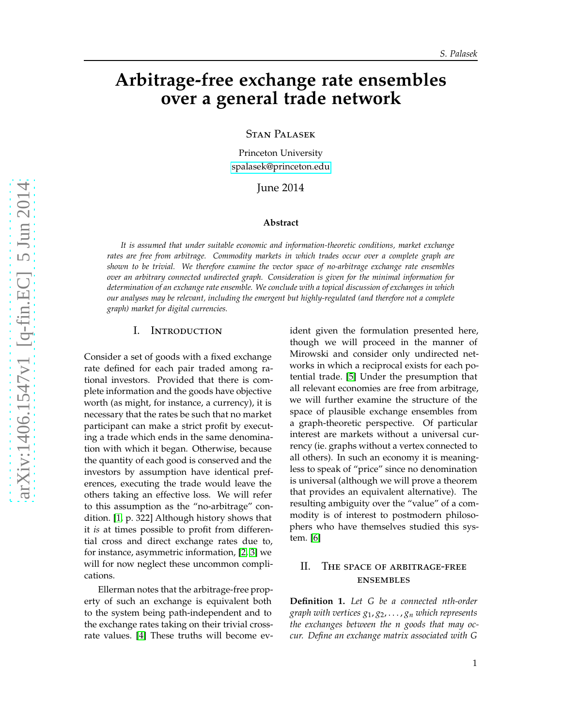# **Arbitrage-free exchange rate ensembles over a general trade network**

Stan Palasek

Princeton University [spalasek@princeton.edu](mailto:spalasek@princeton.edu)

June 2014

### **Abstract**

*It is assumed that under suitable economic and information-theoretic conditions, market exchange rates are free from arbitrage. Commodity markets in which trades occur over a complete graph are shown to be trivial. We therefore examine the vector space of no-arbitrage exchange rate ensembles over an arbitrary connected undirected graph. Consideration is given for the minimal information for determination of an exchange rate ensemble. We conclude with a topical discussion of exchanges in which our analyses may be relevant, including the emergent but highly-regulated (and therefore not a complete graph) market for digital currencies.*

### I. Introduction

Consider a set of goods with a fixed exchange rate defined for each pair traded among rational investors. Provided that there is complete information and the goods have objective worth (as might, for instance, a currency), it is necessary that the rates be such that no market participant can make a strict profit by executing a trade which ends in the same denomination with which it began. Otherwise, because the quantity of each good is conserved and the investors by assumption have identical preferences, executing the trade would leave the others taking an effective loss. We will refer to this assumption as the "no-arbitrage" condition. [\[1,](#page-5-0) p. 322] Although history shows that it *is* at times possible to profit from differential cross and direct exchange rates due to, for instance, asymmetric information, [\[2,](#page-5-1) [3\]](#page-5-2) we will for now neglect these uncommon complications.

Ellerman notes that the arbitrage-free property of such an exchange is equivalent both to the system being path-independent and to the exchange rates taking on their trivial crossrate values. [\[4\]](#page-5-3) These truths will become evident given the formulation presented here, though we will proceed in the manner of Mirowski and consider only undirected networks in which a reciprocal exists for each potential trade. [\[5\]](#page-5-4) Under the presumption that all relevant economies are free from arbitrage, we will further examine the structure of the space of plausible exchange ensembles from a graph-theoretic perspective. Of particular interest are markets without a universal currency (ie. graphs without a vertex connected to all others). In such an economy it is meaningless to speak of "price" since no denomination is universal (although we will prove a theorem that provides an equivalent alternative). The resulting ambiguity over the "value" of a commodity is of interest to postmodern philosophers who have themselves studied this system. [\[6\]](#page-5-5)

# II. The space of arbitrage-free ensembles

<span id="page-0-0"></span>**Definition 1.** *Let G be a connected nth-order graph with vertices g*1, *g*2, . . . , *g<sup>n</sup> which represents the exchanges between the n goods that may occur. Define an exchange matrix associated with G*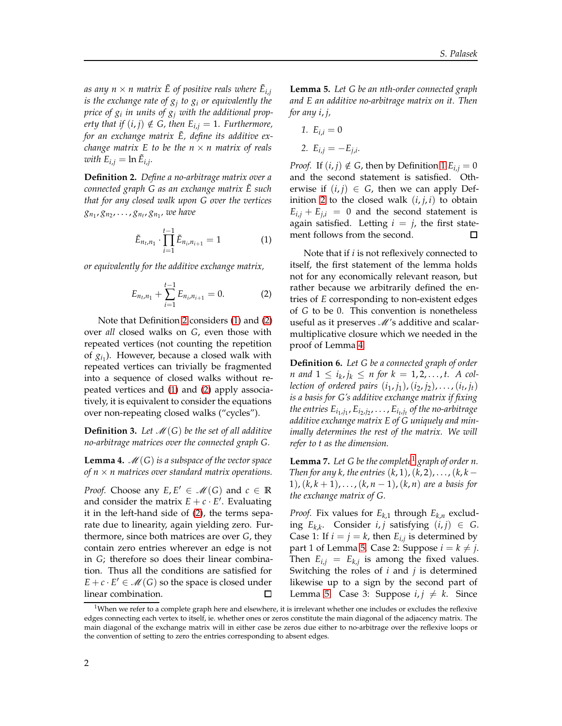as any  $n \times n$  matrix  $\tilde{E}$  of positive reals where  $\tilde{E}_{i,j}$ *is the exchange rate of g<sup>j</sup> to g<sup>i</sup> or equivalently the price of g<sup>i</sup> in units of g<sup>j</sup> with the additional property that if*  $(i, j) \notin G$ , then  $E_{i,j} = 1$ . Furthermore, *for an exchange matrix*  $\tilde{E}$ *, define its additive exchange matrix* E to be the  $n \times n$  matrix of reals  $with E_{i,j} = \ln \tilde{E}_{i,j}.$ 

<span id="page-1-0"></span>**Definition 2.** *Define a no-arbitrage matrix over a connected graph G as an exchange matrix E such* ˜ *that for any closed walk upon G over the vertices gn*<sup>1</sup> , *gn*<sup>2</sup> , . . . , *gn<sup>t</sup>* , *gn*<sup>1</sup> *, we have*

$$
\tilde{E}_{n_t,n_1} \cdot \prod_{i=1}^{t-1} \tilde{E}_{n_i,n_{i+1}} = 1 \tag{1}
$$

*or equivalently for the additive exchange matrix,*

$$
E_{n_t,n_1} + \sum_{i=1}^{t-1} E_{n_i,n_{i+1}} = 0.
$$
 (2)

Note that Definition [2](#page-1-0) considers [\(1\)](#page-1-1) and [\(2\)](#page-1-2) over *all* closed walks on *G*, even those with repeated vertices (not counting the repetition of  $g_{i_1}$ ). However, because a closed walk with repeated vertices can trivially be fragmented into a sequence of closed walks without repeated vertices and [\(1\)](#page-1-1) and [\(2\)](#page-1-2) apply associatively, it is equivalent to consider the equations over non-repeating closed walks ("cycles").

**Definition 3.** Let  $\mathcal{M}(G)$  be the set of all additive *no-arbitrage matrices over the connected graph G.*

<span id="page-1-3"></span>**Lemma 4.**  $\mathcal{M}(G)$  *is a subspace of the vector space of*  $n \times n$  *matrices over standard matrix operations.* 

*Proof.* Choose any  $E, E' \in \mathcal{M}(G)$  and  $c \in \mathbb{R}$ and consider the matrix  $E + c \cdot E'$ . Evaluating it in the left-hand side of [\(2\)](#page-1-2), the terms separate due to linearity, again yielding zero. Furthermore, since both matrices are over *G*, they contain zero entries wherever an edge is not in *G*; therefore so does their linear combination. Thus all the conditions are satisfied for  $E + c \cdot E' \in \mathcal{M}(G)$  so the space is closed under linear combination.  $\Box$ 

<span id="page-1-5"></span>**Lemma 5.** *Let G be an nth-order connected graph and E an additive no-arbitrage matrix on it. Then for any i*, *j,*

1. 
$$
E_{i,i} = 0
$$

2. 
$$
E_{i,j} = -E_{j,i}
$$
.

*Proof.* If  $(i, j) \notin G$ , then by Definition [1](#page-0-0)  $E_{i,j} = 0$ and the second statement is satisfied. Otherwise if  $(i, j) \in G$ , then we can apply Def-inition [2](#page-1-0) to the closed walk  $(i, j, i)$  to obtain  $E_{i,i} + E_{i,i} = 0$  and the second statement is again satisfied. Letting  $i = j$ , the first statement follows from the second.  $\Box$ 

<span id="page-1-2"></span><span id="page-1-1"></span>Note that if *i* is not reflexively connected to itself, the first statement of the lemma holds not for any economically relevant reason, but rather because we arbitrarily defined the entries of *E* corresponding to non-existent edges of *G* to be 0. This convention is nonetheless useful as it preserves  $M$ 's additive and scalarmultiplicative closure which we needed in the proof of Lemma [4.](#page-1-3)

<span id="page-1-6"></span>**Definition 6.** *Let G be a connected graph of order n* and  $1 \le i_k, j_k \le n$  for  $k = 1, 2, ..., t$ . A col*lection of ordered pairs* (*i*1, *j*1),(*i*2, *j*2), . . . ,(*i<sup>t</sup>* , *jt*) *is a basis for G's additive exchange matrix if fixing* the entries  $E_{i_1,j_1}$ ,  $E_{i_2,j_2}$ ,  $\dots$  ,  $E_{i_t,j_t}$  of the no-arbitrage *additive exchange matrix E of G uniquely and minimally determines the rest of the matrix. We will refer to t as the dimension.*

<span id="page-1-7"></span>**Lemma 7.** *Let G be the complete*[1](#page-1-4) *graph of order n. Then for any k, the entries*  $(k, 1)$ ,  $(k, 2)$ , . . . ,  $(k, k - 1)$ 1),  $(k, k + 1)$ , ...,  $(k, n - 1)$ ,  $(k, n)$  are a basis for *the exchange matrix of G.*

*Proof.* Fix values for  $E_{k,1}$  through  $E_{k,n}$  exclud- $\text{Lip}_k$ . Consider *i*, *j* satisfying  $(i, j) \in G$ . Case 1: If  $i = j = k$ , then  $E_{i,j}$  is determined by part 1 of Lemma [5.](#page-1-5) Case 2: Suppose  $i = k \neq j$ . Then  $E_{i,j} = E_{k,j}$  is among the fixed values. Switching the roles of *i* and *j* is determined likewise up to a sign by the second part of Lemma [5.](#page-1-5) Case 3: Suppose  $i, j \neq k$ . Since

<span id="page-1-4"></span> $1$ When we refer to a complete graph here and elsewhere, it is irrelevant whether one includes or excludes the reflexive edges connecting each vertex to itself, ie. whether ones or zeros constitute the main diagonal of the adjacency matrix. The main diagonal of the exchange matrix will in either case be zeros due either to no-arbitrage over the reflexive loops or the convention of setting to zero the entries corresponding to absent edges.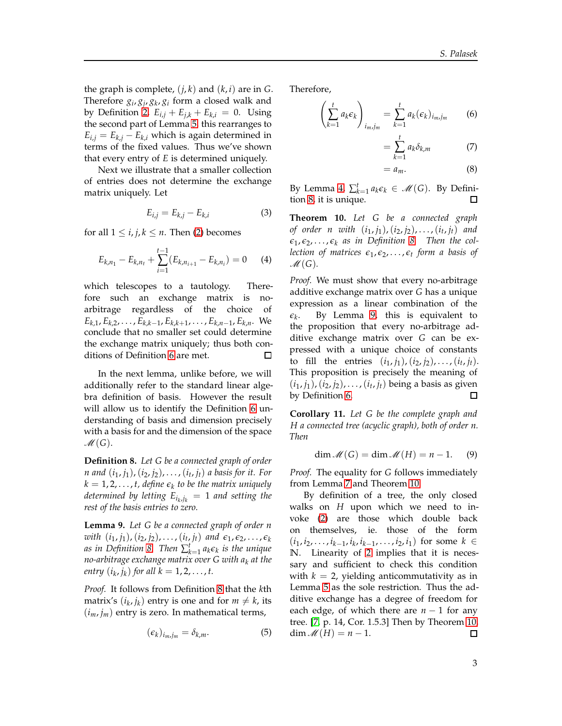the graph is complete,  $(j, k)$  and  $(k, i)$  are in *G*. Therefore  $g_i$ ,  $g_j$ ,  $g_k$ ,  $g_i$  form a closed walk and by Definition [2,](#page-1-0)  $E_{i,j} + E_{j,k} + E_{k,i} = 0$ . Using the second part of Lemma [5,](#page-1-5) this rearranges to  $E_{i,j} = E_{k,j} - E_{k,i}$  which is again determined in terms of the fixed values. Thus we've shown that every entry of *E* is determined uniquely.

Next we illustrate that a smaller collection of entries does not determine the exchange matrix uniquely. Let

$$
E_{i,j} = E_{k,j} - E_{k,i} \tag{3}
$$

for all  $1 \le i, j, k \le n$ . Then [\(2\)](#page-1-2) becomes

$$
E_{k,n_1} - E_{k,n_t} + \sum_{i=1}^{t-1} (E_{k,n_{i+1}} - E_{k,n_i}) = 0 \qquad (4)
$$

which telescopes to a tautology. Therefore such an exchange matrix is noarbitrage regardless of the choice of  $E_{k,1}, E_{k,2}, \ldots, E_{k,k-1}, E_{k,k+1}, \ldots, E_{k,n-1}, E_{k,n}$ . We conclude that no smaller set could determine the exchange matrix uniquely; thus both conditions of Definition [6](#page-1-6) are met.  $\Box$ 

In the next lemma, unlike before, we will additionally refer to the standard linear algebra definition of basis. However the result will allow us to identify the Definition [6](#page-1-6) understanding of basis and dimension precisely with a basis for and the dimension of the space  $\mathcal{M}(G).$ 

<span id="page-2-0"></span>**Definition 8.** *Let G be a connected graph of order n and* (*i*<sup>1</sup> , *j*1),(*i*2, *j*2), . . . ,(*i<sup>t</sup>* , *jt*) *a basis for it. For*  $k = 1, 2, \ldots, t$ , define  $\epsilon_k$  to be the matrix uniquely *determined by letting Ei<sup>k</sup>* ,*j<sup>k</sup>* = 1 *and setting the rest of the basis entries to zero.*

<span id="page-2-1"></span>**Lemma 9.** *Let G be a connected graph of order n*  $(i_1, j_1), (i_2, j_2), \ldots, (i_t, j_t)$  *<i>and*  $\varepsilon_1, \varepsilon_2, \ldots, \varepsilon_k$ *as in Definition [8.](#page-2-0) Then*  $\sum_{k=1}^{t} a_k \epsilon_k$  *is the unique no-arbitrage exchange matrix over G with a<sup>k</sup> at the entry*  $(i_k, j_k)$  *for all*  $k = 1, 2, ..., t$ .

*Proof.* It follows from Definition [8](#page-2-0) that the *k*th matrix's  $(i_k, j_k)$  entry is one and for  $m \neq k$ , its  $(i_m, j_m)$  entry is zero. In mathematical terms,

<span id="page-2-4"></span>
$$
(\epsilon_k)_{i_m,j_m} = \delta_{k,m}.\tag{5}
$$

Therefore,

$$
\left(\sum_{k=1}^{t} a_k \epsilon_k\right)_{i_m,j_m} = \sum_{k=1}^{t} a_k (\epsilon_k)_{i_m,j_m} \qquad (6)
$$

$$
=\sum_{k=1}a_k\delta_{k,m}\tag{7}
$$

$$
= a_m. \tag{8}
$$

By Lemma [4,](#page-1-3)  $\sum_{k=1}^{t} a_k \epsilon_k \in \mathcal{M}(G)$ . By Definition [8,](#page-2-0) it is unique. П

<span id="page-2-2"></span>**Theorem 10.** *Let G be a connected graph of order n with* (*i*1, *j*1),(*i*2, *j*2), . . . ,(*i<sup>t</sup>* , *jt*) *and*  $\epsilon_1, \epsilon_2, \ldots, \epsilon_k$  *as in Definition [8.](#page-2-0) Then the collection of matrices ǫ*<sup>1</sup> , *ǫ*2, . . . , *ǫ<sup>t</sup> form a basis of*  $M(G)$ .

*Proof.* We must show that every no-arbitrage additive exchange matrix over *G* has a unique expression as a linear combination of the . By Lemma [9,](#page-2-1) this is equivalent to  $\epsilon_k$ the proposition that every no-arbitrage additive exchange matrix over *G* can be expressed with a unique choice of constants to fill the entries  $(i_1, j_1)$ ,  $(i_2, j_2)$ , ...,  $(i_t, j_t)$ . This proposition is precisely the meaning of  $(i_1, j_1)$ ,  $(i_2, j_2)$ , . . . ,  $(i_t, j_t)$  being a basis as given by Definition [6.](#page-1-6) П

<span id="page-2-3"></span>**Corollary 11.** *Let G be the complete graph and H a connected tree (acyclic graph), both of order n. Then*

$$
\dim \mathcal{M}(G) = \dim \mathcal{M}(H) = n - 1. \tag{9}
$$

*Proof.* The equality for *G* follows immediately from Lemma [7](#page-1-7) and Theorem [10.](#page-2-2)

By definition of a tree, the only closed walks on *H* upon which we need to invoke [\(2\)](#page-1-2) are those which double back on themselves, ie. those of the form  $(i_1, i_2, \ldots, i_{k-1}, i_k, i_{k-1}, \ldots, i_2, i_1)$  for some *k* ∈ **N**. Linearity of [2](#page-1-2) implies that it is necessary and sufficient to check this condition with  $k = 2$ , yielding anticommutativity as in Lemma [5](#page-1-5) as the sole restriction. Thus the additive exchange has a degree of freedom for each edge, of which there are  $n - 1$  for any tree. [\[7,](#page-5-6) p. 14, Cor. 1.5.3] Then by Theorem [10,](#page-2-2)  $\dim \mathcal{M}(H) = n - 1.$  $\Box$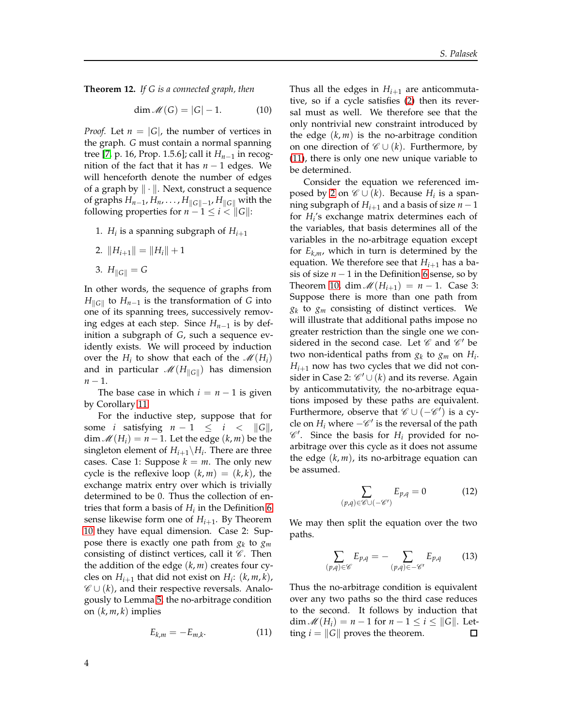**Theorem 12.** *If G is a connected graph, then*

$$
\dim \mathcal{M}(G) = |G| - 1. \tag{10}
$$

*Proof.* Let  $n = |G|$ , the number of vertices in the graph. *G* must contain a normal spanning tree [\[7,](#page-5-6) p. 16, Prop. 1.5.6]; call it *Hn*−<sup>1</sup> in recognition of the fact that it has  $n - 1$  edges. We will henceforth denote the number of edges of a graph by  $\|\cdot\|$ . Next, construct a sequence of graphs  $H_{n-1}$ ,  $H_n$ , . . . ,  $H_{\|G\|-1}$ ,  $H_{\|G\|}$  with the following properties for  $n - 1 \le i < ||G||$ :

- 1.  $H_i$  is a spanning subgraph of  $H_{i+1}$
- 2.  $||H_{i+1}|| = ||H_i|| + 1$
- 3.  $H_{\|G\|} = G$

In other words, the sequence of graphs from *H*<sub>∥G∥</sub> to *H<sub>n−1</sub>* is the transformation of *G* into one of its spanning trees, successively removing edges at each step. Since *Hn*−<sup>1</sup> is by definition a subgraph of *G*, such a sequence evidently exists. We will proceed by induction over the  $H_i$  to show that each of the  $\mathcal{M}(H_i)$ and in particular  $\mathscr{M}(H_{\parallel G\parallel})$  has dimension *n* − 1.

The base case in which  $i = n - 1$  is given by Corollary [11.](#page-2-3)

For the inductive step, suppose that for some *i* satisfying  $n - 1 \le i \le ||G||$ , dim  $\mathcal{M}(H_i) = n - 1$ . Let the edge  $(k, m)$  be the singleton element of  $H_{i+1} \backslash H_i$ . There are three cases. Case 1: Suppose  $k = m$ . The only new cycle is the reflexive loop  $(k, m) = (k, k)$ , the exchange matrix entry over which is trivially determined to be 0. Thus the collection of entries that form a basis of  $H_i$  in the Definition [6](#page-1-6) sense likewise form one of *Hi*+<sup>1</sup> . By Theorem [10](#page-2-2) they have equal dimension. Case 2: Suppose there is exactly one path from *g<sup>k</sup>* to *gm* consisting of distinct vertices, call it  $C$ . Then the addition of the edge (*k*, *m*) creates four cycles on  $H_{i+1}$  that did not exist on  $H_i$ :  $(k, m, k)$ ,  $\mathscr{C} \cup (k)$ , and their respective reversals. Analogously to Lemma [5,](#page-1-5) the no-arbitrage condition on (*k*, *m*, *k*) implies

$$
E_{k,m} = -E_{m,k}.\tag{11}
$$

Thus all the edges in  $H_{i+1}$  are anticommutative, so if a cycle satisfies [\(2\)](#page-1-2) then its reversal must as well. We therefore see that the only nontrivial new constraint introduced by the edge  $(k, m)$  is the no-arbitrage condition on one direction of  $\mathcal{C} \cup (k)$ . Furthermore, by [\(11\)](#page-3-0), there is only one new unique variable to be determined.

Consider the equation we referenced im-posed by [2](#page-1-2) on  $\mathscr{C} \cup (k)$ . Because  $H_i$  is a spanning subgraph of  $H_{i+1}$  and a basis of size  $n-1$ for *H<sup>i</sup>* 's exchange matrix determines each of the variables, that basis determines all of the variables in the no-arbitrage equation except for  $E_{k,m}$ , which in turn is determined by the equation. We therefore see that  $H_{i+1}$  has a basis of size  $n − 1$  in the Definition [6](#page-1-6) sense, so by Theorem [10,](#page-2-2) dim  $\mathcal{M}(H_{i+1}) = n - 1$ . Case 3: Suppose there is more than one path from  $g_k$  to  $g_m$  consisting of distinct vertices. We will illustrate that additional paths impose no greater restriction than the single one we considered in the second case. Let  $\mathscr C$  and  $\mathscr C'$  be two non-identical paths from  $g_k$  to  $g_m$  on  $H_i$ .  $H_{i+1}$  now has two cycles that we did not consider in Case 2:  $\mathscr{C}'\cup(k)$  and its reverse. Again by anticommutativity, the no-arbitrage equations imposed by these paths are equivalent. Furthermore, observe that  $\mathscr{C} \cup (-\mathscr{C}')$  is a cycle on  $H_i$  where  $-\mathscr{C}'$  is the reversal of the path  $\mathscr{C}'$ . Since the basis for  $H_i$  provided for noarbitrage over this cycle as it does not assume the edge (*k*, *m*), its no-arbitrage equation can be assumed.

$$
\sum_{(p,q)\in\mathscr{C}\cup(-\mathscr{C}')} E_{p,q} = 0 \tag{12}
$$

We may then split the equation over the two paths.

$$
\sum_{(p,q)\in\mathscr{C}} E_{p,q} = -\sum_{(p,q)\in-\mathscr{C}'} E_{p,q} \qquad (13)
$$

<span id="page-3-0"></span>Thus the no-arbitrage condition is equivalent over any two paths so the third case reduces to the second. It follows by induction that  $\dim \mathcal{M}(H_i) = n - 1$  for  $n - 1 \leq i \leq ||G||$ . Letting  $i = ||G||$  proves the theorem.  $\Box$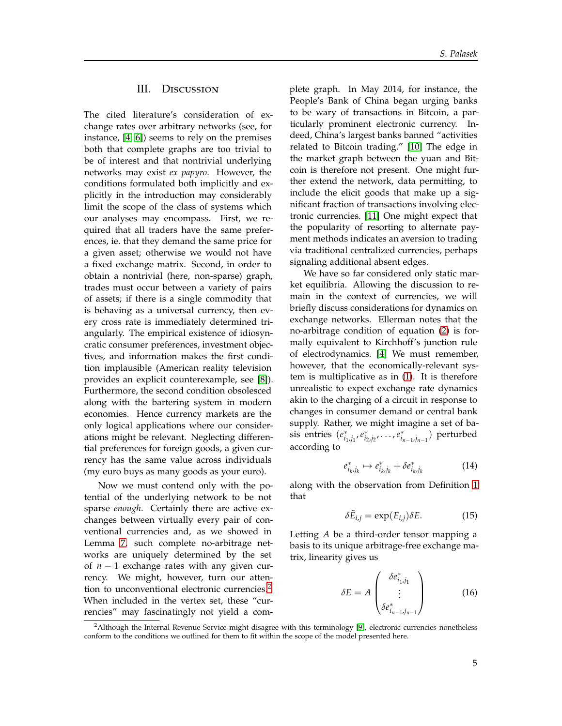## III. Discussion

The cited literature's consideration of exchange rates over arbitrary networks (see, for instance, [\[4,](#page-5-3) [6\]](#page-5-5)) seems to rely on the premises both that complete graphs are too trivial to be of interest and that nontrivial underlying networks may exist *ex papyro*. However, the conditions formulated both implicitly and explicitly in the introduction may considerably limit the scope of the class of systems which our analyses may encompass. First, we required that all traders have the same preferences, ie. that they demand the same price for a given asset; otherwise we would not have a fixed exchange matrix. Second, in order to obtain a nontrivial (here, non-sparse) graph, trades must occur between a variety of pairs of assets; if there is a single commodity that is behaving as a universal currency, then every cross rate is immediately determined triangularly. The empirical existence of idiosyncratic consumer preferences, investment objectives, and information makes the first condition implausible (American reality television provides an explicit counterexample, see [\[8\]](#page-5-7)). Furthermore, the second condition obsolesced along with the bartering system in modern economies. Hence currency markets are the only logical applications where our considerations might be relevant. Neglecting differential preferences for foreign goods, a given currency has the same value across individuals (my euro buys as many goods as your euro).

Now we must contend only with the potential of the underlying network to be not sparse *enough*. Certainly there are active exchanges between virtually every pair of conventional currencies and, as we showed in Lemma [7,](#page-1-7) such complete no-arbitrage networks are uniquely determined by the set of *n* − 1 exchange rates with any given currency. We might, however, turn our atten-tion to unconventional electronic currencies.<sup>[2](#page-4-0)</sup> When included in the vertex set, these "currencies" may fascinatingly not yield a complete graph. In May 2014, for instance, the People's Bank of China began urging banks to be wary of transactions in Bitcoin, a particularly prominent electronic currency. Indeed, China's largest banks banned "activities related to Bitcoin trading." [\[10\]](#page-5-8) The edge in the market graph between the yuan and Bitcoin is therefore not present. One might further extend the network, data permitting, to include the elicit goods that make up a significant fraction of transactions involving electronic currencies. [\[11\]](#page-5-9) One might expect that the popularity of resorting to alternate payment methods indicates an aversion to trading via traditional centralized currencies, perhaps signaling additional absent edges.

We have so far considered only static market equilibria. Allowing the discussion to remain in the context of currencies, we will briefly discuss considerations for dynamics on exchange networks. Ellerman notes that the no-arbitrage condition of equation [\(2\)](#page-1-2) is formally equivalent to Kirchhoff's junction rule of electrodynamics. [\[4\]](#page-5-3) We must remember, however, that the economically-relevant system is multiplicative as in [\(1\)](#page-1-1). It is therefore unrealistic to expect exchange rate dynamics akin to the charging of a circuit in response to changes in consumer demand or central bank supply. Rather, we might imagine a set of ba- $(e_{i_1,j_1}^*,e_{i_2,j_2}^*,\ldots,e_{i_{n-1},j_{n-1}}^*)$  perturbed according to

$$
e_{i_k,j_k}^* \mapsto e_{i_k,j_k}^* + \delta e_{i_k,j_k}^* \tag{14}
$$

along with the observation from Definition [1](#page-0-0) that

$$
\delta \tilde{E}_{i,j} = \exp(E_{i,j}) \delta E. \tag{15}
$$

Letting *A* be a third-order tensor mapping a basis to its unique arbitrage-free exchange matrix, linearity gives us

$$
\delta E = A \begin{pmatrix} \delta e_{i_1,j_1}^* \\ \vdots \\ \delta e_{i_{n-1},j_{n-1}}^* \end{pmatrix}
$$
 (16)

<span id="page-4-0"></span> $2$ Although the Internal Revenue Service might disagree with this terminology [\[9\]](#page-5-10), electronic currencies nonetheless conform to the conditions we outlined for them to fit within the scope of the model presented here.